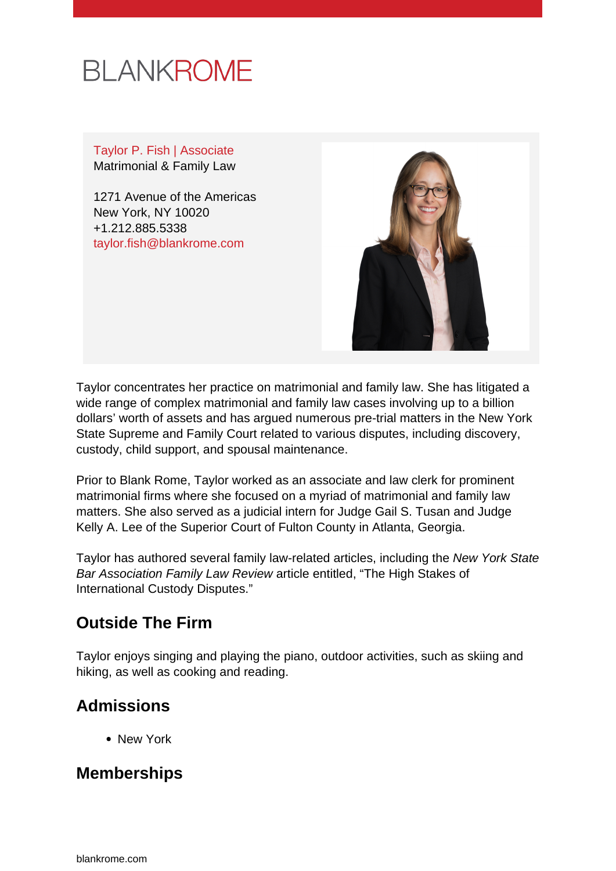

Taylor P. Fish | Associate Matrimonial & Family Law

1271 Avenue of the Americas New York, NY 10020 +1.212.885.5338 [taylor.fish@blankrome.com](mailto:taylor.fish@blankrome.com)



Taylor concentrates her practice on matrimonial and family law. She has litigated a wide range of complex matrimonial and family law cases involving up to a billion dollars' worth of assets and has argued numerous pre-trial matters in the New York State Supreme and Family Court related to various disputes, including discovery, custody, child support, and spousal maintenance.

Prior to Blank Rome, Taylor worked as an associate and law clerk for prominent matrimonial firms where she focused on a myriad of matrimonial and family law matters. She also served as a judicial intern for Judge Gail S. Tusan and Judge Kelly A. Lee of the Superior Court of Fulton County in Atlanta, Georgia.

Taylor has authored several family law-related articles, including the New York State Bar Association Family Law Review article entitled, "The High Stakes of International Custody Disputes."

# **Outside The Firm**

Taylor enjoys singing and playing the piano, outdoor activities, such as skiing and hiking, as well as cooking and reading.

# **Admissions**

New York

### **Memberships**